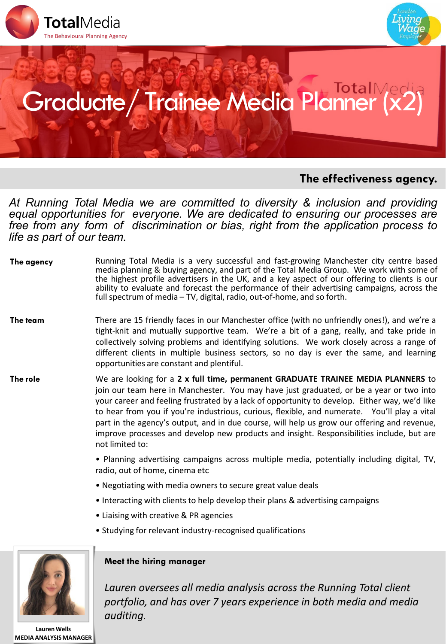



# Graduate/ Trainee Media Planner

## **The effectiveness agency.**

*At Running Total Media we are committed to diversity & inclusion and providing equal opportunities for everyone. We are dedicated to ensuring our processes are free from any form of discrimination or bias, right from the application process to life as part of our team*.

| The agency | Running Total Media is a very successful and fast-growing Manchester city centre based<br>media planning & buying agency, and part of the Total Media Group. We work with some of<br>the highest profile advertisers in the UK, and a key aspect of our offering to clients is our<br>ability to evaluate and forecast the performance of their advertising campaigns, across the<br>full spectrum of media – TV, digital, radio, out-of-home, and so forth. |
|------------|--------------------------------------------------------------------------------------------------------------------------------------------------------------------------------------------------------------------------------------------------------------------------------------------------------------------------------------------------------------------------------------------------------------------------------------------------------------|
|            |                                                                                                                                                                                                                                                                                                                                                                                                                                                              |

- **The team** There are 15 friendly faces in our Manchester office (with no unfriendly ones!), and we're a tight-knit and mutually supportive team. We're a bit of a gang, really, and take pride in collectively solving problems and identifying solutions. We work closely across a range of different clients in multiple business sectors, so no day is ever the same, and learning opportunities are constant and plentiful.
- **The role** We are looking for a **2 x full time, permanent GRADUATE TRAINEE MEDIA PLANNERS** to join our team here in Manchester. You may have just graduated, or be a year or two into your career and feeling frustrated by a lack of opportunity to develop. Either way, we'd like to hear from you if you're industrious, curious, flexible, and numerate. You'll play a vital part in the agency's output, and in due course, will help us grow our offering and revenue, improve processes and develop new products and insight. Responsibilities include, but are not limited to:
	- Planning advertising campaigns across multiple media, potentially including digital, TV, radio, out of home, cinema etc
	- Negotiating with media owners to secure great value deals
	- Interacting with clients to help develop their plans & advertising campaigns
	- Liaising with creative & PR agencies
	- Studying for relevant industry-recognised qualifications



#### **Lauren Wells MEDIA ANALYSIS MANAGER**

### **Meet the hiring manager**

*Lauren oversees all media analysis across the Running Total client portfolio, and has over 7 years experience in both media and media auditing.*